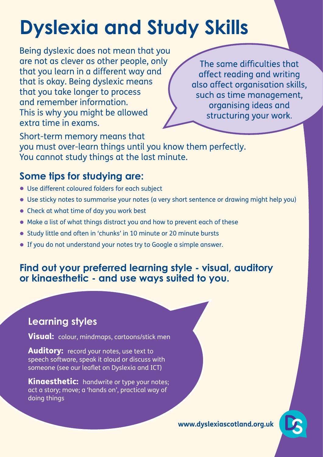# **Dyslexia and Study Skills**

Being dyslexic does not mean that you are not as clever as other people, only that you learn in a different way and that is okay. Being dyslexic means that you take longer to process and remember information. This is why you might be allowed extra time in exams.

The same difficulties that affect reading and writing also affect organisation skills, such as time management, organising ideas and structuring your work.

Short-term memory means that you must over-learn things until you know them perfectly. You cannot study things at the last minute.

# **Some tips for studying are:**

- Use different coloured folders for each subject
- Use sticky notes to summarise your notes (a very short sentence or drawing might help you)
- Check at what time of day you work best
- Make a list of what things distract you and how to prevent each of these
- Study little and often in 'chunks' in 10 minute or 20 minute bursts
- If you do not understand your notes try to Google a simple answer.

### **Find out your preferred learning style - visual, auditory or kinaesthetic - and use ways suited to you.**

## **Learning styles**

Visual: colour, mindmaps, cartoons/stick men

**Auditory:** record your notes, use text to speech software, speak it aloud or discuss with someone (see our leaflet on Dyslexia and ICT)

**Kinaesthetic:** handwrite or type your notes; act a story; move; a 'hands on', practical way of doing things